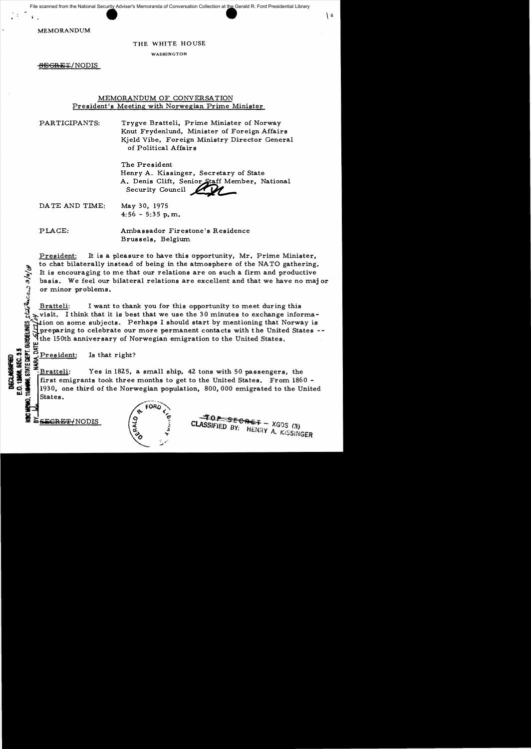MEMORANDUM

#### THE WHITE HOUSE

WASHINGTON

8EGRET/NODIS

# MEMORANDUM OF CONVERSATION President's Meeting with Norwegian Prime Minister

PARTICIPANTS: Trygve Bratteli, Prime Minister of Norway Knut Frydenlund, Minister of Foreign Affairs Kjeld Vibe, Foreign Ministry Director General of Political Affairs

> The President Henry A. Kissinger, Secretary of State A. Denis Clift, Senior Staff Member, National Security Council 2007

 $\lambda$ 

DA TE AND TIME: May 30, 1975  $4:56 - 5:35$  p.m.

PLACE: Ambassador Firestone's Residence Brussels, Belgium.

President: It is a pleasure to have this opportunity, Mr. Prime Minister. to chat bilaterally instead of being in the atmosphere of the NATO gathering. It is encouraging to me that our relations are on such a firm and productive basis. We feel our bilateral relations are excellent and that we have no maj or or minor problems.

 $\frac{\text{Bratteli:}}{\text{with } \lambda}$  I want to thank you for this opportunity to meet during this  $\lambda$  visit. I think that it is best that we use the 30 minutes to exchange informafor the Secondary of Nerhaps I should start by mentioning that Norway is<br>depending to celebrate our more permanent contacts with the United States --<br>the 150th anniversary of Norwegian emigration to the United States. Which is to celebrate our more permanent contact the United States.

**\_..,.:icC** g~ i'President: Is that right?

Bratteli: Yes in 1825, a small ship, 42 tons with 50 passengers, the first emigrants took three months to get to the United States. From 1860 -1930, one third of the Norwegian population, 800,000 emigrated to the United States.

 $stat$ lures 3/9/14

**DECLASSIFIE**<br>E.O. 12006, SEC.



 $\frac{1}{2}$   $\frac{1}{3}$   $\frac{1}{2}$   $\frac{1}{3}$  CLASSIFIED BY. HEMPLY XGOS (3) CLASSIFIED BY: HENRY A. KISSINGER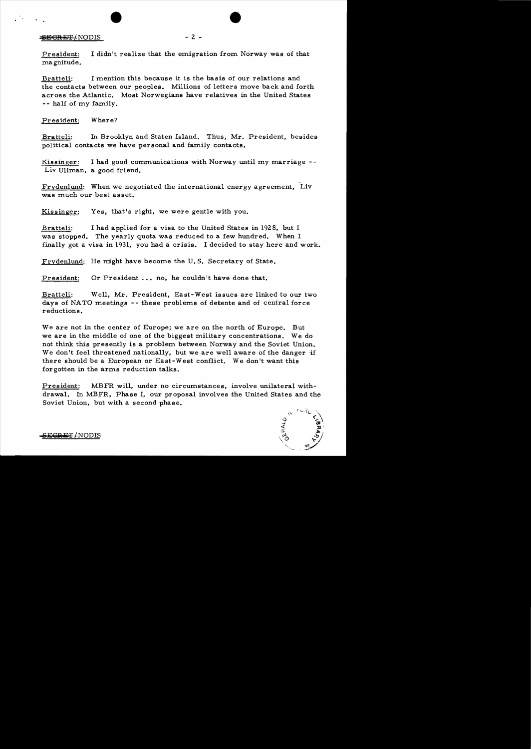### $EGRET/NODIS$  - 2 -

President: I didn't realize that the emigration from Norway was of that magnitude.

Bratteli: I mention this because it is the basis of our relations and the contacts between our peoples. Millions of letters move back and forth across the Atlantic. Most Norwegians have relatives in the United States - - half of my family.

President: Where?

Bratteli: In Brooklyn and Staten Island. Thus, Mr. President, besides political contacts we have personal and family contacts.

Kissinger: I had good communications with Norway until my marriage  $-$ -Liv Ullman, a good friend.

Frydenlund: When we negotiated the international energy agreement, Liv was much our best asset.

Kissinger: Yes, that's right, we were gentle with you.

Bratteli: I had applied for a visa to the United States in 1928, but I was stopped. The yearly quota was reduced to a few hundred. When I finally got a visa in 1931, you had a crisis. I decided to stay here and work.

Frydenlund: He might have become the U. S. Secretary of State.

President: Or President ... no, he couldn't have done that.

Bratteli: Well, Mr. President, East-West issues are linked to our two days of NATO meetings -- these problems of detente and of central force reductions.

We are not in the center of Europe; we are on the north of Europe. But we are in the middle of one of the biggest military concentrations. We do not think this presently is a problem between Norway and the Soviet Union. We don't feel threatened nationally, but we are well aware of the danger if there should be a European or East-West conflict. We don't want this forgotten in the arms reduction talks.

President: MBFR will, under no circumstances, involve unilateral withdrawal. In MBFR, Phase I, our proposal involves the United States and the Soviet Union, but with a second phase.

**SECRET/NODIS**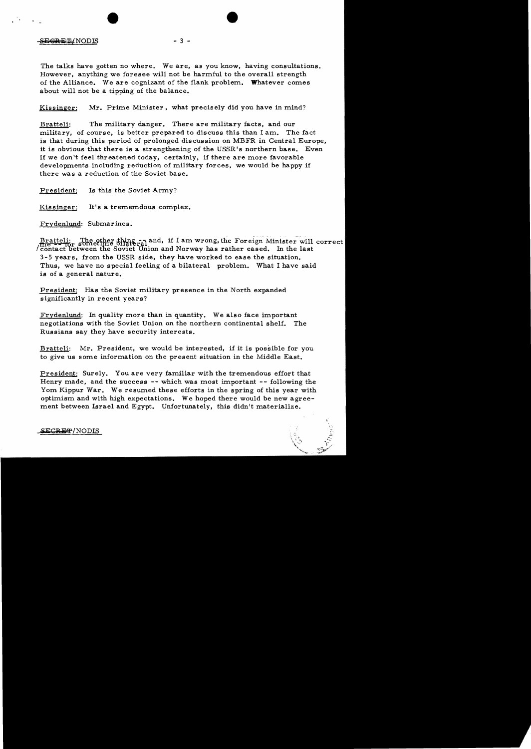### S<del>EGRET/</del>NODIS - 3 -

The talks have gotten no where. We are, as you know, having consultations. However, anything we foresee will not be harmful to the overall strength of the Alliance. We are cognizant of the flank problem. Whatever comes about will not be a tipping of the balance.

Kissinger: Mr. Prime Minister, what precisely did you have in mind?

Bratteli: The military danger. There are military facts, and our military, of course, is better prepared to discuss this than I am. The fact is that during this period of prolonged discussion on MBFR in Central Europe, it is obvious that there is a strengthening of the USSR's northern base. Even if we don't feel threatened today, certainly, if there are more favorable developments including reduction of military forces, we would be happy if there was a reduction of the Soviet base.

President: Is this the Soviet Army?

Kissinger: It's a trememdous complex.

Frydenlund: Submarines.

Bratteli: The other thing  $\frac{1}{2}$  and, if I am wrong, the Foreign Minister will correct / contact between the Soviet Union and Norway has rather eased. In the last 3-5 years, from the USSR side, they have worked to ease the situation. Thus, we have no special feeling of a bilateral problem. What I have said is of a general nature.

President: Has the Soviet military presence in the North expanded significantly in recent years?

Frydenlund: In quality more than in quantity. We also face important negotiations with the Soviet Union on the northern continental shelf. The Russians say they have security interests.

Bratteli: Mr. President, we would be interested, if it is possible for you to give us some information on the present situation in the Middle East.

President: Surely. You are very familiar with the tremendous effort that Henry made, and the success -- which was most important **--** following the Yom Kippur War. We resumed these efforts in the spring of this year with optimism and with high expectations. We hoped there would be new agreement between Israel and Egypt. Unfortunately, this didn't materialize.

 $\texttt{SCREF}/\text{NODIS}$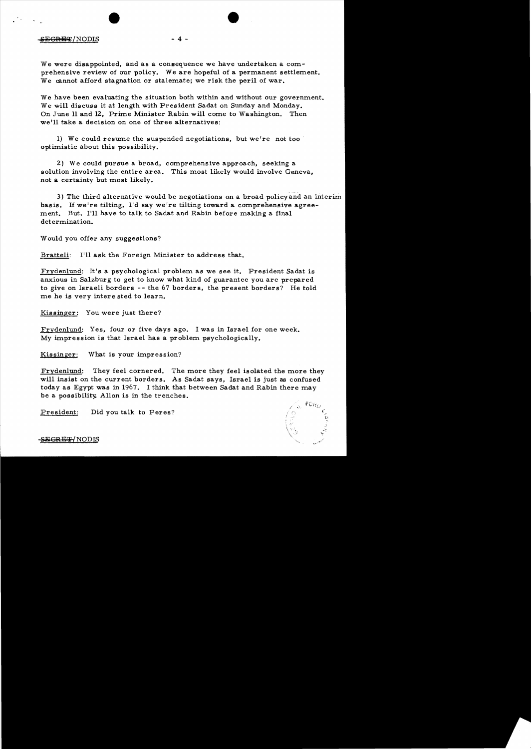#### $SEGRE/T$  NODIS - 4 -

We were disappointed, and as a consequence we have undertaken a comprehensive review of our policy. We are hopeful of a permanent settlement. We cannot afford stagnation or stalemate; we risk the peril of war.

We have been evaluating the situation both within and without our government. We will discuss it at length with President Sadat on Sunday and Monday. On June 11 and 12, Prime Minister Rabin will come to Washington. Then we'll take a decision on one of three alternatives:

1) We could resume the suspended negotiations, but we're not too ' optimistic about this possibility.

2) We could pursue a broad, comprehensive approach, seeking a solution involving the entire area. This most likely would involve Geneva, not a certainty but most likely.

3) The third alternative would be negotiations on a broad policy and an interim basis. If we're tilting, I'd say we're tilting toward a comprehensive agreement. But, I'll have to talk to Sadat and Rabin before making a final determination.

Would you offer any suggestions?

Bratteli: I'll ask the Foreign Minister to address that.

Frydenlund: It's a psychological problem as we see it. President Sadat is anxious in Salzburg to get to know what kind of guarantee you are prepared to give on Israeli borders -- the 67 borders, the present borders? He told me he is very intere sted to learn.

Kissinger: You were just there?

Frydenlund: Yes, four or five days ago. I was in Israel for one week. My impression is that Israel has a problem psychologically.

Kissinger: What is your impression?

Frydenlund: They feel cornered. The more they feel isolated the more they will insist on the current borders. As Sadat says, Israel is just as confused today as Egypt was in 1967. I think that between Sadat and Rabin there may be a possibility. Allon is in the trenches.

President: Did you talk to Peres?

 $\mathcal{L} = \mathcal{N}$ 

EGRET/NODIS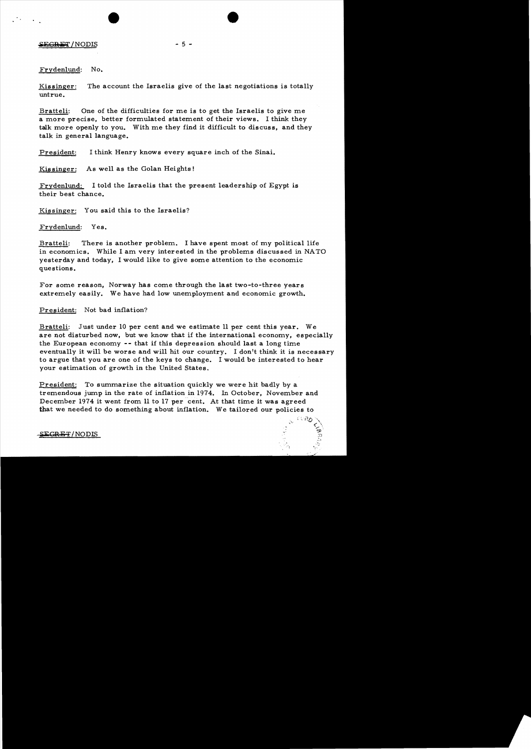$SEGRET/NODIS$  - 5 -

 $\mathcal{L}^{\text{max}}$ 

Fryden1und: No.

Kissinger: The account the Israelis give of the last negotiations is totally untrue.

Bratteli: One of the difficulties for me is to get the Israelis to give me a more precise, better formulated statement of their views. I think they talk more openly to you. With me they find it difficult to discuss, and they talk in general language.

President: I think Henry knows every square inch of the Sinai.

Kissinger: As well as the Golan Heights!

Fryden1und: I told the Israelis that the present leadership of Egypt is their best chance.

Kissinger: You said this to the Israelis?

Frydenlund: Yes.

Bratteli: There is another problem. I have spent most of my political life in economics. While I am very interested in the problems discussed in NATO yesterday and today, I would like to give some attention to the economic questions.

For some reason, Norway has come through the last two-to-three years extremely easily. We have had low unemployment and economic growth.

President: Not bad inflation?

Bratteli: Just under 10 per cent and we estimate 11 per cent this year. We are not disturbed now, but we know that if the international economy. especially the European economy -- that if this depression should last a long time eventually it will be worse and will hit our country. I don't think it is necessary to argue that you are one of the keys to change. I would be interested to hear your estimation of growth in the United States.

President: To summarize the situation quickly we were hit badly by a tremendous jump in the rate of inflation in 1974. In October, November and December 1974 it went from 11 to 17 per cent. At that time it was agreed that we needed to do something about inflation. We tailored our policies to

 ${SECREF/NODIS}$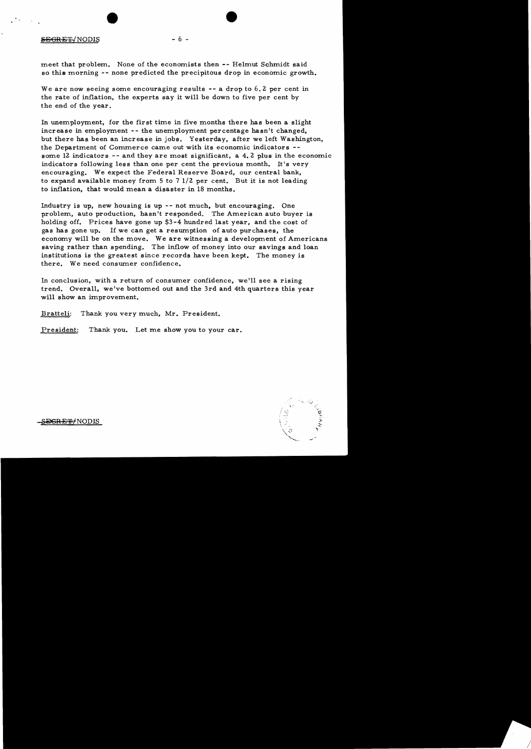### $SEGREF/NODIS$  - 6 -

meet that problem. None of the economists then -- Helmut Schmidt said so this morning -- none predicted the precipitous drop in economic growth.

We are now seeing some encouraging results  $-$  a drop to 6.2 per cent in the rate of inflation, the experts say it will be down to five per cent by the end of the year.

In unemployment, for the first time in five months there has been a slight increase in employment -- the unemployment percentage hasn't changed, but there has been an increase in jobs. Yesterday, after we left Washington, the Department of Commerce came out with its economic indicators some 12 indicators -- and they are most significant, a 4.2 plus in the economic indicators following less than one per cent the previous month. It's very encouraging. We expect the Federal Reserve Board, our central bank, to expand available money from  $5$  to  $71/2$  per cent. But it is not leading to inflation, that would mean a disaster in 18 months.

Industry is up, new housing is up -- not much. but encouraging. One problem, auto production, hasn't responded. The American auto buyer is holding off. Prices have gone up \$3-4 hundred last year, and the cost of gas has gone up. If we can get a resumption of auto purchases, the economy will be on the move. We are witnessing a development of Americans saving rather than spending. The inflow of money into our savings and loan institutions is the greatest since records have been kept. The money is there. We need consumer confidence.

In conclusion, with a return of consumer confidence, we'll see a rising trend. Overall, we've bottomed out and the 3rd and 4th quarters this year will show an improvement.

Bratteli: Thank you very much, Mr. President.

President: Thank you. Let me show you to your car.

<del>EGRET/</del>NODIS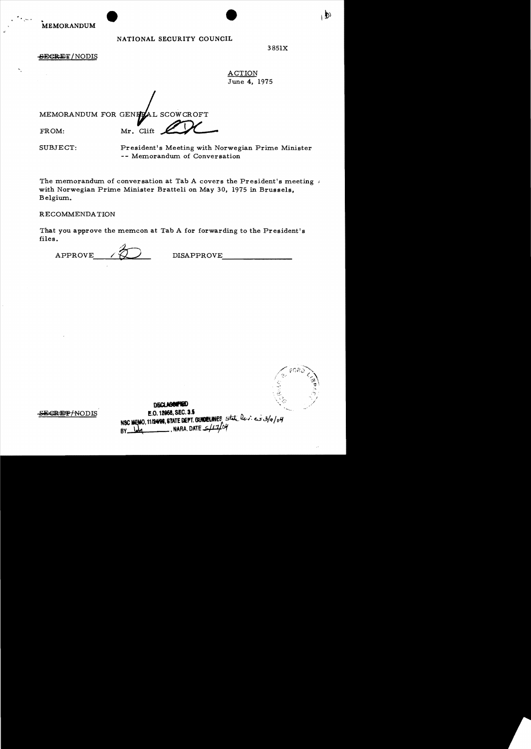**MEMORANDUM** 

# NATIONAL SECURITY COUNCIL

⊢D)

**SECRET/NODIS** 

**ACTION** June 4, 1975

MEMORANDUM FOR GENEZAL SCOWCROFT Mr. Clift

FROM:

SUBJECT:

President's Meeting with Norwegian Prime Minister -- Memorandum of Conversation

The memorandum of conversation at Tab A covers the President's meeting with Norwegian Prime Minister Bratteli on May 30, 1975 in Brussels, Belgium.

RECOMMENDATION

**EGRETHNODIS** 

That you approve the memcon at Tab A for forwarding to the President's files.

APPROVE

**DISAPPROVE** 



**DECLASSIFIED** E.O. 12058, SEC. 3.5 NSC MEMO, 11/2498, STATE DEPT. GUNDELINES, state levies 3/9/04 NARA, DATE  $\leq$  / 1 BY.